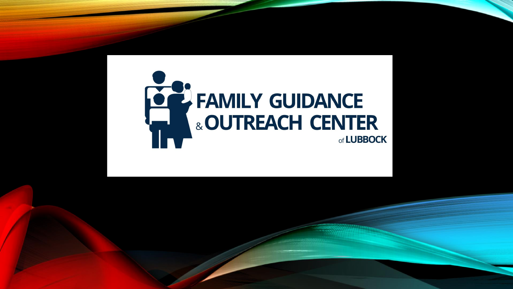## **EZ FAMILY GUIDANCE** & OUTREACH CENTER of LUBBOCK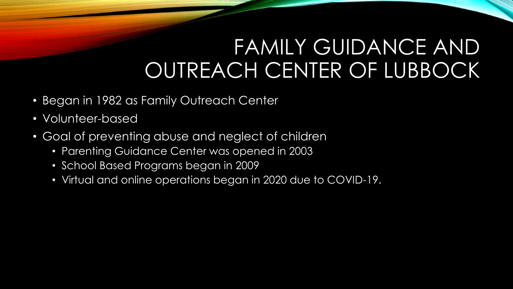#### FAMILY GUIDANCE AND OUTREACH CENTER OF LUBBOCK

- Began in 1982 as Family Outreach Center
- Volunteer-based
- Goal of preventing abuse and neglect of children
	- Parenting Guidance Center was opened in 2003
	- School Based Programs began in 2009
	- Virtual and online operations began in 2020 due to COVID-19.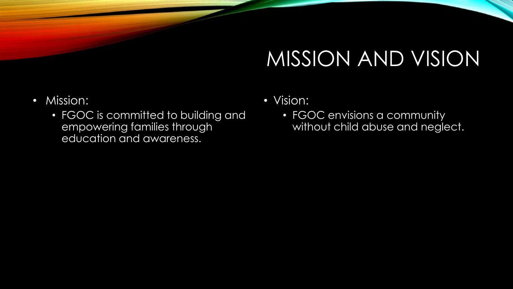#### MISSION AND VISION

- Mission:
	- FGOC is committed to building and empowering families through education and awareness.
- Vision:
	- FGOC envisions a community without child abuse and neglect.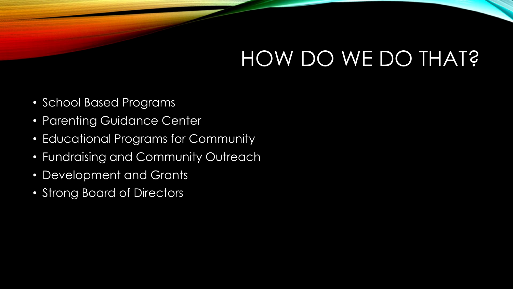## HOW DO WE DO THAT?

- School Based Programs
- Parenting Guidance Center
- Educational Programs for Community
- Fundraising and Community Outreach
- Development and Grants
- Strong Board of Directors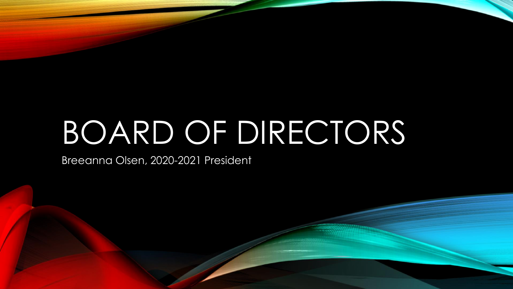# BOARD OF DIRECTORS

Breeanna Olsen, 2020-2021 President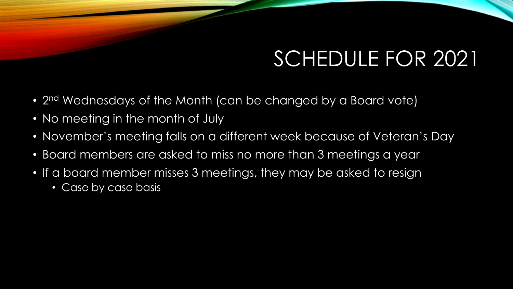## SCHEDULE FOR 2021

- 2<sup>nd</sup> Wednesdays of the Month (can be changed by a Board vote)
- No meeting in the month of July
- November's meeting falls on a different week because of Veteran's Day
- Board members are asked to miss no more than 3 meetings a year
- If a board member misses 3 meetings, they may be asked to resign
	- Case by case basis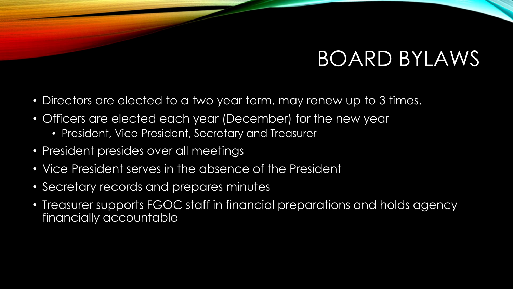#### BOARD BYLAWS

- Directors are elected to a two year term, may renew up to 3 times.
- Officers are elected each year (December) for the new year
	- President, Vice President, Secretary and Treasurer
- President presides over all meetings
- Vice President serves in the absence of the President
- Secretary records and prepares minutes
- Treasurer supports FGOC staff in financial preparations and holds agency financially accountable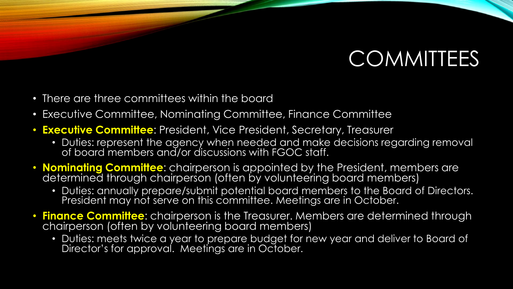#### **COMMITTEES**

- There are three committees within the board
- Executive Committee, Nominating Committee, Finance Committee
- **Executive Committee**: President, Vice President, Secretary, Treasurer
	- Duties: represent the agency when needed and make decisions regarding removal of board members and/or discussions with FGOC staff.
- **Nominating Committee**: chairperson is appointed by the President, members are determined through chairperson (often by volunteering board members)
	- Duties: annually prepare/submit potential board members to the Board of Directors. President may not serve on this committee. Meetings are in October.
- **Finance Committee**: chairperson is the Treasurer. Members are determined through chairperson (often by volunteering board members)
	- Duties: meets twice a year to prepare budget for new year and deliver to Board of Director's for approval. Meetings are in October.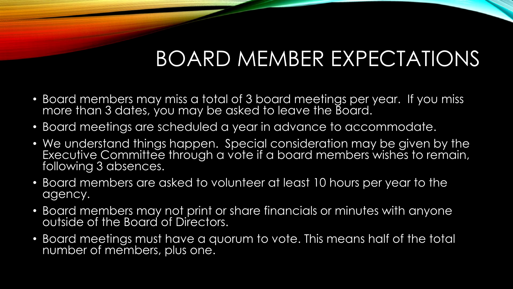## BOARD MEMBER EXPECTATIONS

- Board members may miss a total of 3 board meetings per year. If you miss more than 3 dates, you may be asked to leave the Board.
- Board meetings are scheduled a year in advance to accommodate.
- We understand things happen. Special consideration may be given by the Executive Committee through a vote if a board members wishes to remain, following 3 absences.
- Board members are asked to volunteer at least 10 hours per year to the agency.
- Board members may not print or share financials or minutes with anyone outside of the Board of Directors.
- Board meetings must have a quorum to vote. This means half of the total number of members, plus one.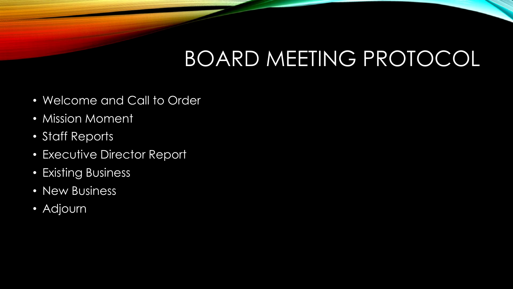## BOARD MEETING PROTOCOL

- Welcome and Call to Order
- Mission Moment
- Staff Reports
- Executive Director Report
- Existing Business
- New Business
- Adjourn